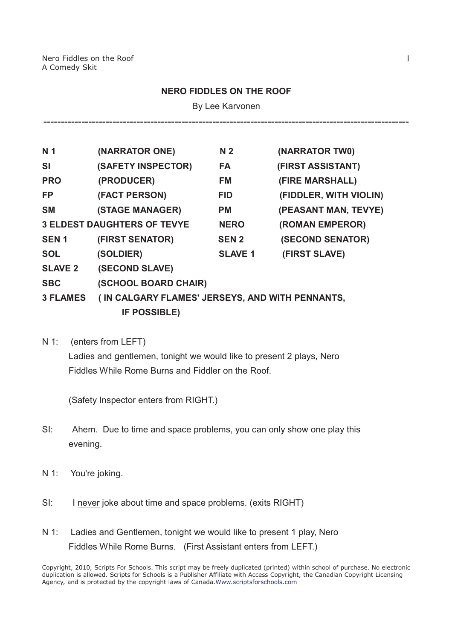## **NERO FIDDLES ON THE ROOF**

By Lee Karvonen

----------------------------------------------------------------------------------------------------------

| N <sub>1</sub>  | (NARRATOR ONE)                                  | N <sub>2</sub> | (NARRATOR TWO)         |
|-----------------|-------------------------------------------------|----------------|------------------------|
| SI              | (SAFETY INSPECTOR)                              | FA             | (FIRST ASSISTANT)      |
| <b>PRO</b>      | (PRODUCER)                                      | FM             | (FIRE MARSHALL)        |
| <b>FP</b>       | (FACT PERSON)                                   | <b>FID</b>     | (FIDDLER, WITH VIOLIN) |
| <b>SM</b>       | (STAGE MANAGER)                                 | <b>PM</b>      | (PEASANT MAN, TEVYE)   |
|                 | <b>3 ELDEST DAUGHTERS OF TEVYE</b>              | <b>NERO</b>    | (ROMAN EMPEROR)        |
| <b>SEN1</b>     | (FIRST SENATOR)                                 | <b>SEN 2</b>   | (SECOND SENATOR)       |
| <b>SOL</b>      | (SOLDIER)                                       | <b>SLAVE 1</b> | (FIRST SLAVE)          |
| <b>SLAVE 2</b>  | (SECOND SLAVE)                                  |                |                        |
| <b>SBC</b>      | (SCHOOL BOARD CHAIR)                            |                |                        |
| <b>3 FLAMES</b> | (IN CALGARY FLAMES' JERSEYS, AND WITH PENNANTS, |                |                        |
|                 | <b>IF POSSIBLE)</b>                             |                |                        |

N 1: (enters from LEFT) Ladies and gentlemen, tonight we would like to present 2 plays, Nero Fiddles While Rome Burns and Fiddler on the Roof.

(Safety Inspector enters from RIGHT.)

- SI: Ahem. Due to time and space problems, you can only show one play this evening.
- N 1: You're joking.
- SI: I never joke about time and space problems. (exits RIGHT)
- N 1: Ladies and Gentlemen, tonight we would like to present 1 play, Nero Fiddles While Rome Burns. (First Assistant enters from LEFT.)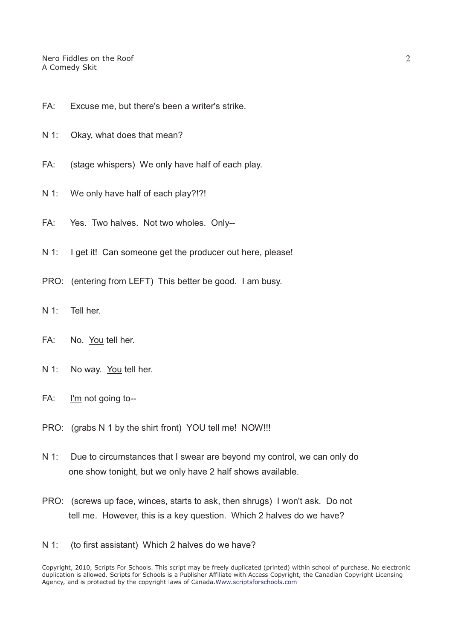- FA: Excuse me, but there's been a writer's strike.
- N 1: Okay, what does that mean?
- FA: (stage whispers) We only have half of each play.
- N 1: We only have half of each play?!?!
- FA: Yes. Two halves. Not two wholes. Only--
- N 1: I get it! Can someone get the producer out here, please!
- PRO: (entering from LEFT) This better be good. I am busy.
- N 1: Tell her.
- FA: No. You tell her.
- N 1: No way. You tell her.
- FA: I'm not going to--
- PRO: (grabs N 1 by the shirt front) YOU tell me! NOW!!!
- N 1: Due to circumstances that I swear are beyond my control, we can only do one show tonight, but we only have 2 half shows available.
- PRO: (screws up face, winces, starts to ask, then shrugs) I won't ask. Do not tell me. However, this is a key question. Which 2 halves do we have?
- N 1: (to first assistant) Which 2 halves do we have?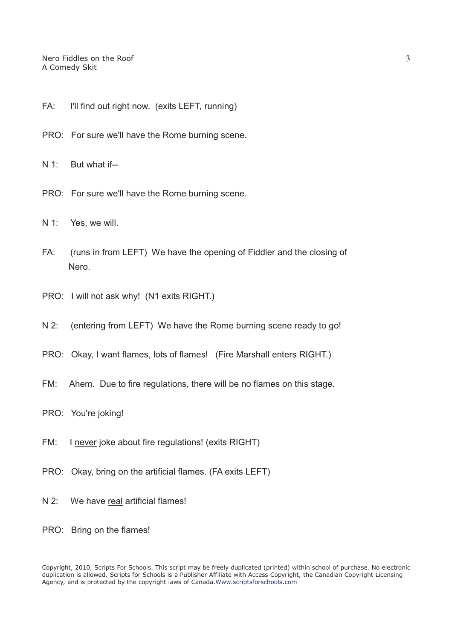- FA: I'll find out right now. (exits LEFT, running)
- PRO: For sure we'll have the Rome burning scene.
- N 1: But what if--
- PRO: For sure we'll have the Rome burning scene.
- N 1: Yes, we will.
- FA: (runs in from LEFT) We have the opening of Fiddler and the closing of Nero.
- PRO: I will not ask why! (N1 exits RIGHT.)
- N 2: (entering from LEFT) We have the Rome burning scene ready to go!
- PRO: Okay, I want flames, lots of flames! (Fire Marshall enters RIGHT.)
- FM: Ahem. Due to fire regulations, there will be no flames on this stage.
- PRO: You're joking!
- FM: I never joke about fire regulations! (exits RIGHT)
- PRO: Okay, bring on the artificial flames. (FA exits LEFT)
- N 2: We have real artificial flames!
- PRO: Bring on the flames!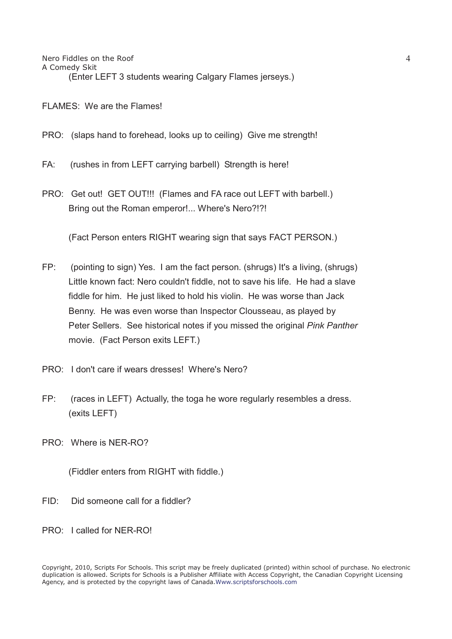FLAMES: We are the Flames!

- PRO: (slaps hand to forehead, looks up to ceiling) Give me strength!
- FA: (rushes in from LEFT carrying barbell) Strength is here!
- PRO: Get out! GET OUT!!! (Flames and FA race out LEFT with barbell.) Bring out the Roman emperor!... Where's Nero?!?!

(Fact Person enters RIGHT wearing sign that says FACT PERSON.)

- FP: (pointing to sign) Yes. I am the fact person. (shrugs) It's a living, (shrugs) Little known fact: Nero couldn't fiddle, not to save his life. He had a slave fiddle for him. He just liked to hold his violin. He was worse than Jack Benny. He was even worse than Inspector Clousseau, as played by Peter Sellers. See historical notes if you missed the original *Pink Panther* movie. (Fact Person exits LEFT.)
- PRO: I don't care if wears dresses! Where's Nero?
- FP: (races in LEFT) Actually, the toga he wore regularly resembles a dress. (exits LEFT)
- PRO: Where is NER-RO?

(Fiddler enters from RIGHT with fiddle.)

- FID: Did someone call for a fiddler?
- PRO: I called for NER-RO!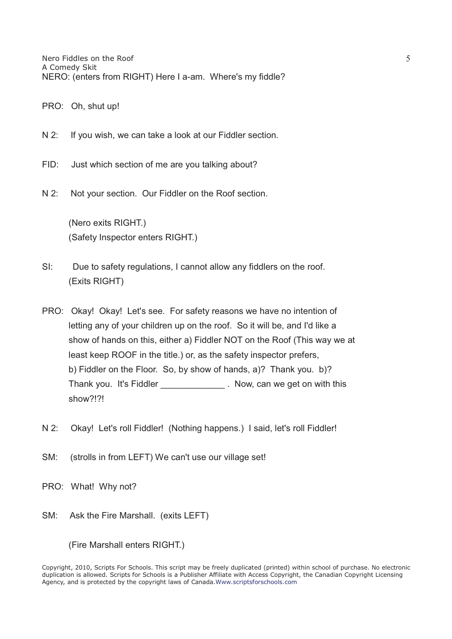- PRO: Oh, shut up!
- N 2: If you wish, we can take a look at our Fiddler section.
- FID: Just which section of me are you talking about?
- N 2: Not your section. Our Fiddler on the Roof section.

 (Nero exits RIGHT.) (Safety Inspector enters RIGHT.)

- SI: Due to safety regulations, I cannot allow any fiddlers on the roof. (Exits RIGHT)
- PRO: Okay! Okay! Let's see. For safety reasons we have no intention of letting any of your children up on the roof. So it will be, and I'd like a show of hands on this, either a) Fiddler NOT on the Roof (This way we at least keep ROOF in the title.) or, as the safety inspector prefers, b) Fiddler on the Floor. So, by show of hands, a)? Thank you. b)? Thank you. It's Fiddler **Thank** you. It's Fiddler show?!?!
- N 2: Okay! Let's roll Fiddler! (Nothing happens.) I said, let's roll Fiddler!
- SM: (strolls in from LEFT) We can't use our village set!
- PRO: What! Why not?
- SM: Ask the Fire Marshall. (exits LEFT)

(Fire Marshall enters RIGHT.)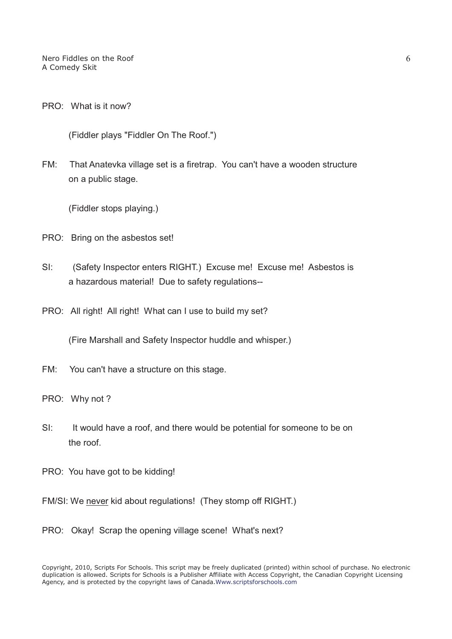Nero Fiddles on the Roof A Comedy Skit

PRO: What is it now?

(Fiddler plays "Fiddler On The Roof.")

FM: That Anatevka village set is a firetrap. You can't have a wooden structure on a public stage.

(Fiddler stops playing.)

- PRO: Bring on the asbestos set!
- SI: (Safety Inspector enters RIGHT.) Excuse me! Excuse me! Asbestos is a hazardous material! Due to safety regulations--
- PRO: All right! All right! What can I use to build my set?

(Fire Marshall and Safety Inspector huddle and whisper.)

- FM: You can't have a structure on this stage.
- PRO: Why not ?
- SI: It would have a roof, and there would be potential for someone to be on the roof.
- PRO: You have got to be kidding!
- FM/SI: We never kid about regulations! (They stomp off RIGHT.)
- PRO: Okay! Scrap the opening village scene! What's next?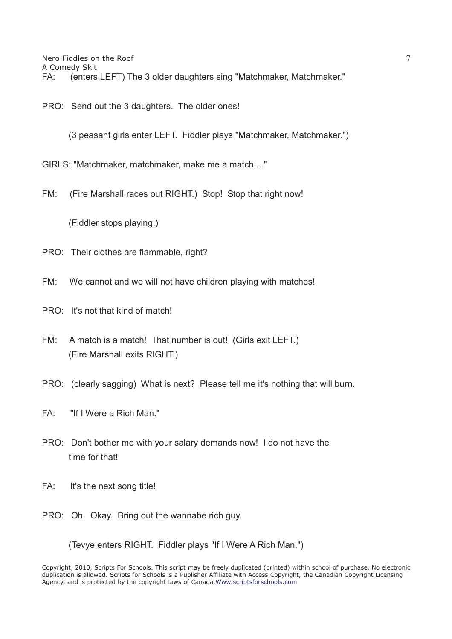PRO: Send out the 3 daughters. The older ones!

(3 peasant girls enter LEFT. Fiddler plays "Matchmaker, Matchmaker.")

GIRLS: "Matchmaker, matchmaker, make me a match...."

FM: (Fire Marshall races out RIGHT.) Stop! Stop that right now!

(Fiddler stops playing.)

- PRO: Their clothes are flammable, right?
- FM: We cannot and we will not have children playing with matches!
- PRO: It's not that kind of match!
- FM: A match is a match! That number is out! (Girls exit LEFT.) (Fire Marshall exits RIGHT.)
- PRO: (clearly sagging) What is next? Please tell me it's nothing that will burn.
- FA: "If I Were a Rich Man."
- PRO: Don't bother me with your salary demands now! I do not have the time for that!
- FA: It's the next song title!
- PRO: Oh. Okay. Bring out the wannabe rich guy.

(Tevye enters RIGHT. Fiddler plays "If I Were A Rich Man.")